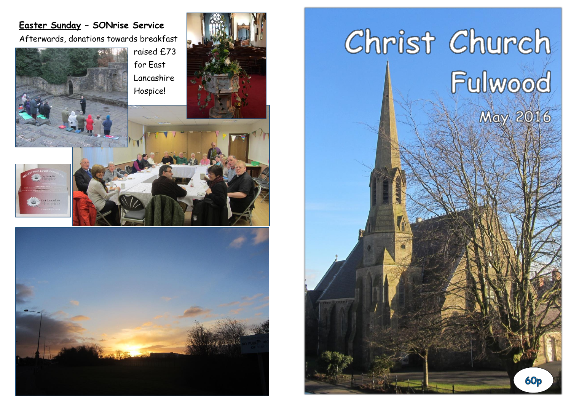## **Easter Sunday – SONrise Service**

Afterwards, donations towards breakfast









# Christ Church Fulwood<br>May 2016

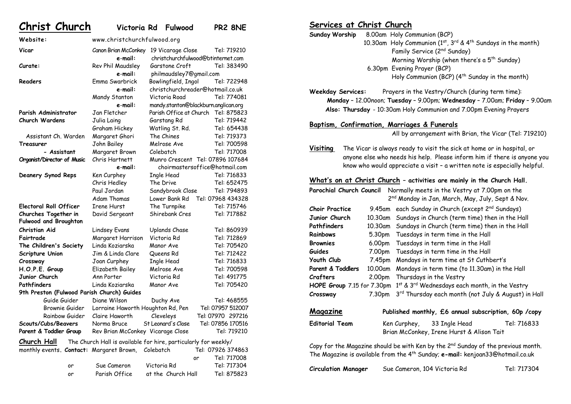| Christ Church                              |                                                                 | Victoria Rd Fulwood     | PR2 8NE                              |
|--------------------------------------------|-----------------------------------------------------------------|-------------------------|--------------------------------------|
| Website:                                   | www.christchurchfulwood.org                                     |                         |                                      |
| Vicar                                      | Canon Brian McConkey 19 Vicarage Close                          |                         | Tel: 719210                          |
|                                            | e-mail:                                                         |                         | christchurchfulwood@btinternet.com   |
| Curate:                                    | Rev Phil Maudsley                                               | Garstone Croft          | Tel: 383490                          |
|                                            | e-mail:                                                         | philmaudsley7@gmail.com |                                      |
| Readers                                    | Emma Swarbrick                                                  | Bowlingfield, Ingol     | Tel: 722948                          |
|                                            | e-mail:                                                         |                         | christchurchreader@hotmail.co.uk     |
|                                            | Mandy Stanton                                                   | Victoria Road           | Tel: 774081                          |
|                                            | e-mail:                                                         |                         | mandy.stanton@blackburn.anglican.org |
| Parish Administrator                       | Jan Fletcher                                                    |                         | Parish Office at Church Tel: 875823  |
| <b>Church Wardens</b>                      | Julia Laing                                                     | Garstang Rd             | Tel: 719442                          |
|                                            | Graham Hickey                                                   | Watling St. Rd.         | Tel: 654438                          |
| Assistant Ch. Warden                       | Margaret Ghori                                                  | The Chines              | Tel: 719373                          |
| Treasurer                                  | John Bailey                                                     | Melrose Ave             | Tel: 700598                          |
| - Assistant                                | Margaret Brown                                                  | Colebatch               | Tel: 717008                          |
| Organist/Director of Music                 | Chris Hartnett                                                  |                         | Munro Crescent Tel: 07896 107684     |
|                                            | e-mail:                                                         |                         | choirmastersoffice@hotmail.com       |
| Deanery Synod Reps                         | Ken Curphey                                                     | <b>Ingle Head</b>       | Tel: 716833                          |
|                                            | Chris Hedley                                                    | The Drive               | Tel: 652475                          |
|                                            | Paul Jordan                                                     | Sandybrook Close        | Tel: 794893                          |
|                                            | Adam Thomas                                                     | Lower Bank Rd           | Tel: 07968 434328                    |
| <b>Electoral Roll Officer</b>              | <b>Irene Hurst</b>                                              | The Turnpike            | Tel: 715746                          |
| Churches Together in                       | David Sergeant                                                  | Shirebank Cres          | Tel: 717882                          |
| <b>Fulwood and Broughton</b>               |                                                                 |                         |                                      |
| Christian Aid                              | <b>Lindsey Evans</b>                                            | <b>Uplands Chase</b>    | Tel: 860939                          |
| Fairtrade                                  | Margaret Harrison                                               | Victoria Rd             | Tel: 712869                          |
| The Children's Society                     | Linda Koziarska                                                 | Manor Ave               | Tel: 705420                          |
| Scripture Union                            | Jim & Linda Clare                                               | Queens Rd               | Tel: 712422                          |
| Crossway                                   | Joan Curphey                                                    | Ingle Head              | Tel: 716833                          |
| H.O.P.E. Group                             | Elizabeth Bailey                                                | Melrose Ave             | Tel: 700598                          |
| Junior Church                              | Ann Porter                                                      | Victoria Rd             | Tel: 491775                          |
| Pathfinders                                | Linda Koziarska                                                 | Manor Ave               | Tel: 705420                          |
| 9th Preston (Fulwood Parish Church) Guides |                                                                 |                         |                                      |
| Guide Guider                               | Diane Wilson                                                    | Duchy Ave               | Tel: 468555                          |
| Brownie Guider                             | Lorraine Haworth Houghton Rd, Pen                               |                         | Tel: 07957 512007                    |
| Rainbow Guider                             | Claire Haworth                                                  | Cleveleys               | Tel: 07970 297216                    |
| Scouts/Cubs/Beavers                        | Norma Bruce                                                     | St Leonard's Close      | Tel: 07856 170516                    |
| Parent & Toddler Group                     | Rev Brian McConkey Vicarage Close                               |                         | Tel: 719210                          |
| Church Hall                                | The Church Hall is available for hire, particularly for weekly/ |                         |                                      |
| monthly events. Contact: Margaret Brown,   |                                                                 | Colebatch               | Tel: 07926 374863                    |
|                                            |                                                                 |                         | Tel: 717008<br>or                    |
| or                                         | Sue Cameron                                                     | Victoria Rd             | Tel: 717304                          |
| o۳                                         | Parish Office                                                   | at the Church Hall      | Tel: 875823                          |

#### **Services at Christ Church**

**Sunday Worship** 8.00am Holy Communion (BCP) 10.30am Holy Communion ( $1^{st}$ ,  $3^{rd}$  &  $4^{th}$  Sundays in the month) Family Service (2<sup>nd</sup> Sunday) Morning Worship (when there's a  $5^{\text{th}}$  Sunday) 6.30pm Evening Prayer (BCP) Holy Communion (BCP) (4<sup>th</sup> Sunday in the month)

**Weekday Services:** Prayers in the Vestry/Church (during term time): **Monday** – 12.00noon; **Tuesday** – 9.00pm; **Wednesday** – 7.00am; **Friday** – 9.00am **Also: Thursday** - 10:30am Holy Communion and 7.00pm Evening Prayers

#### **Baptism, Confirmation, Marriages & Funerals**

All by arrangement with Brian, the Vicar (Tel: 719210)

**Visiting** The Vicar is always ready to visit the sick at home or in hospital, or anyone else who needs his help. Please inform him if there is anyone you know who would appreciate a visit – a written note is especially helpful.

#### **What's on at Christ Church – activities are mainly in the Church Hall.**

| Parochial Church Council                                                                      |         | Normally meets in the Vestry at 7.00pm on the                |  |  |
|-----------------------------------------------------------------------------------------------|---------|--------------------------------------------------------------|--|--|
|                                                                                               |         | 2 <sup>nd</sup> Monday in Jan, March, May, July, Sept & Nov. |  |  |
| <b>Choir Practice</b>                                                                         | 9.45am  | each Sunday in Church (except 2 <sup>nd</sup> Sundays)       |  |  |
| Junior Church                                                                                 | 10.30am | Sundays in Church (term time) then in the Hall               |  |  |
| Pathfinders                                                                                   | 10.30am | Sundays in Church (term time) then in the Hall               |  |  |
| <b>Rainbows</b>                                                                               |         | 5.30pm Tuesdays in term time in the Hall                     |  |  |
| Brownies                                                                                      |         | 6.00pm Tuesdays in term time in the Hall                     |  |  |
| <b>Guides</b>                                                                                 | 7.00pm  | Tuesdays in term time in the Hall                            |  |  |
| Youth Club                                                                                    | 7.45pm  | Mondays in term time at St Cuthbert's                        |  |  |
| Parent & Toddlers                                                                             | 10.00am | Mondays in term time (to 11.30am) in the Hall                |  |  |
| Crafters                                                                                      | 2.00pm  | Thursdays in the Vestry                                      |  |  |
| HOPE Group 7.15 for 7.30pm                                                                    |         | 1st & 3rd Wednesdays each month, in the Vestry               |  |  |
| Crossway                                                                                      | 7.30pm  | 3rd Thursday each month (not July & August) in Hall          |  |  |
| Magazine<br>Published monthly, £6 annual subscription, 60p /copy                              |         |                                                              |  |  |
| <b>Editorial Team</b>                                                                         |         | Ken Curphey, 33 Ingle Head<br>Tel: 716833                    |  |  |
|                                                                                               |         | Brian McConkey, Irene Hurst & Alison Tait                    |  |  |
| Copy for the Magazine should be with Ken by the 2 <sup>nd</sup> Sunday of the previous month. |         |                                                              |  |  |
| The Magazine is available from the 4 <sup>th</sup> Sunday; e-mail: kenjoan33@hotmail.co.uk    |         |                                                              |  |  |

| Circulation Manager | Sue Cameron, 104 Victoria Rd | Tel: 717304 |
|---------------------|------------------------------|-------------|
|---------------------|------------------------------|-------------|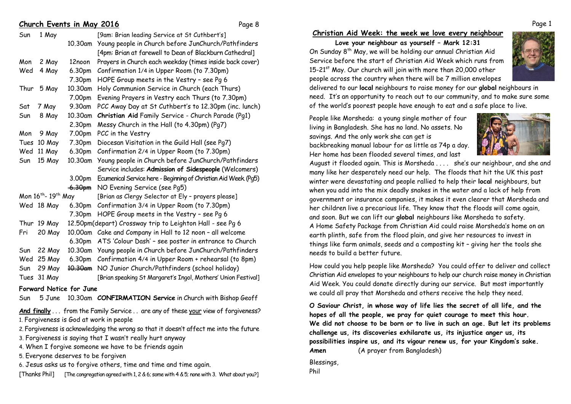#### **Church Events in May 2016** Page 8

| Sun                                         | 1 May       |                    | [9am: Brian leading Service at St Cuthbert's]                   |
|---------------------------------------------|-------------|--------------------|-----------------------------------------------------------------|
|                                             |             | 10.30am            | Young people in Church before JunChurch/Pathfinders             |
|                                             |             |                    | [4pm: Brian at farewell to Dean of Blackburn Cathedral]         |
| Mon                                         | 2 May       | 12noon             | Prayers in Church each weekday (times inside back cover)        |
| Wed                                         | 4 May       | 6.30pm             | Confirmation 1/4 in Upper Room (to 7.30pm)                      |
|                                             |             | 7.30pm             | HOPE Group meets in the Vestry - see Pg 6                       |
| Thur                                        | 5 May       | 10.30am            | Holy Communion Service in Church (each Thurs)                   |
|                                             |             | 7.00pm             | Evening Prayers in Vestry each Thurs (to 7.30pm)                |
| Sat                                         | 7 May       | 9.30am             | PCC Away Day at St Cuthbert's to 12.30pm (inc. lunch)           |
| Sun                                         | 8 May       | 10.30am            | Christian Aid Family Service - Church Parade (Pg1)              |
|                                             |             | 2.30pm             | Messy Church in the Hall (to 4.30pm) (Pg7)                      |
| Mon                                         | 9 May       | 7.00pm             | PCC in the Vestry                                               |
| Tues                                        | 10 May      | 7.30pm             | Diocesan Visitation in the Guild Hall (see Pg7)                 |
| Wed                                         | 11 May      | 6.30pm             | Confirmation 2/4 in Upper Room (to 7.30pm)                      |
| Sun                                         | 15 May      | 10.30am            | Young people in Church before JunChurch/Pathfinders             |
|                                             |             |                    | Service includes: Admission of Sidespeople (Welcomers)          |
|                                             |             | 3.00pm             | Ecumenical Service here - Beginning of Christian Aid Week (Pg5) |
|                                             |             | <del>-6.30pm</del> | NO Evening Service (see Pg5)                                    |
| Mon 16 <sup>th</sup> - 19 <sup>th</sup> May |             |                    | [Brian as Clergy Selector at Ely - prayers please]              |
|                                             | Wed 18 May  | 6.30pm             | Confirmation 3/4 in Upper Room (to 7.30pm)                      |
|                                             |             | 7.30pm             | HOPE Group meets in the Vestry - see Pg 6                       |
|                                             | Thur 19 May |                    | 12.50pm(depart) Crossway trip to Leighton Hall - see Pg 6       |
| Fri                                         | 20 May      | 10.00am            | Cake and Company in Hall to 12 noon - all welcome               |
|                                             |             | 6.30pm             | ATS 'Colour Dash' - see poster in entrance to Church            |
| Sun                                         | 22 May      | 10.30am            | Young people in Church before JunChurch/Pathfinders             |
| Wed                                         | 25 May      | 6.30pm             | Confirmation 4/4 in Upper Room + rehearsal (to 8pm)             |
| Sun                                         | 29 May      | <del>10.30am</del> | NO Junior Church/Pathfinders (school holiday)                   |
| Tues                                        | 31 May      |                    | [Brian speaking St Margaret's Ingol, Mothers' Union Festival]   |
|                                             |             |                    |                                                                 |

**Forward Notice for June**

Sun 5 June 10.30am **CONFIRMATION Service** in Church with Bishop Geoff

And finally . . . from the Family Service . . are any of these your view of forgiveness? 1. Forgiveness is God at work in people

2. Forgiveness is acknowledging the wrong so that it doesn't affect me into the future

- 3. Forgiveness is saying that I wasn't really hurt anyway
- 4. When I forgive someone we have to be friends again

5. Everyone deserves to be forgiven

6. Jesus asks us to forgive others, time and time and time again.

[Thanks Phil] [The congregation agreed with 1, 2 & 6; some with 4 & 5; none with 3. What about you?]

#### **Christian Aid Week: the week we love every neighbour**

**Love your neighbour as yourself – Mark 12:31** On Sunday 8th May, we will be holding our annual Christian Aid Service before the start of Christian Aid Week which runs from  $15-21$ <sup>st</sup> May. Our church will join with more than 20,000 other people across the country when there will be 7 million envelopes



delivered to our **local** neighbours to raise money for our **global** neighbours in need. It's an opportunity to reach out to our community, and to make sure some of the world's poorest people have enough to eat and a safe place to live.

People like Morsheda: a young single mother of four living in Bangladesh. She has no land. No assets. No savings. And the only work she can get is backbreaking manual labour for as little as 74p a day. Her home has been flooded several times, and last



August it flooded again. This is Morsheda . . . . she's our neighbour, and she and many like her desperately need our help. The floods that hit the UK this past winter were devastating and people rallied to help their **local** neighbours, but when you add into the mix deadly snakes in the water and a lack of help from government or insurance companies, it makes it even clearer that Morsheda and her children live a precarious life. They know that the floods will come again, and soon. But we can lift our **global** neighbours like Morsheda to safety. A Home Safety Package from Christian Aid could raise Morsheda's home on an earth plinth, safe from the flood plain, and give her resources to invest in things like farm animals, seeds and a composting kit – giving her the tools she needs to build a better future.

How could you help people like Morsheda? You could offer to deliver and collect Christian Aid envelopes to your neighbours to help our church raise money in Christian Aid Week. You could donate directly during our service. But most importantly we could all pray that Morsheda and others receive the help they need.

**O Saviour Christ, in whose way of life lies the secret of all life, and the hopes of all the people, we pray for quiet courage to meet this hour. We did not choose to be born or to live in such an age. But let its problems challenge us, its discoveries exhilarate us, its injustice anger us, its possibilities inspire us, and its vigour renew us, for your Kingdom's sake. Amen** (A prayer from Bangladesh)

Blessings, Phil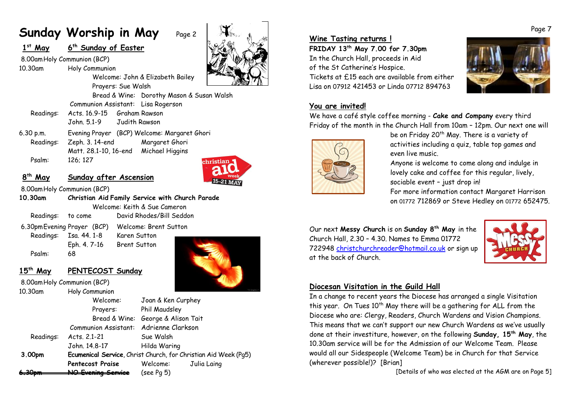# **Sunday Worship in May** Page 2

### **1s<sup>t</sup> May <sup>6</sup>th Sunday of Easter**

8.00amHoly Communion (BCP) 10.30am Holy Communion



Prayers: Sue Walsh Bread & Wine: Dorothy Mason & Susan Walsh Communion Assistant: Lisa Rogerson Readings: Acts. 16.9-15 Graham Rawson John. 5.1-9 Judith Rawson

Welcome: John & Elizabeth Bailey

6.30 p.m. Evening Prayer (BCP) Welcome: Margaret Ghori Readings: Zeph. 3. 14-end Margaret Ghori Matt. 28.1-10, 16-end Michael Higgins Psalm: 126; 127



### **<sup>8</sup>th May Sunday after Ascension**

8.00amHoly Communion (BCP)

**10.30am Christian Aid Family Service with Church Parade** Welcome: Keith & Sue Cameron Readings: to come David Rhodes/Bill Seddon

6.30pmEvening Prayer (BCP) Welcome: Brent Sutton Readings: Isa. 44. 1-8 Karen Sutton

Psalm: 68

Eph. 4. 7-16 Brent Sutton

#### **<sup>15</sup>th May PENTECOST Sunday** 8.00amHoly Communion (BCP)

| 10.30am   | Holy Communion                                                  |                         |  |  |
|-----------|-----------------------------------------------------------------|-------------------------|--|--|
|           | Welcome:                                                        | Joan & Ken Curphey      |  |  |
|           | Prayers:                                                        | Phil Maudsley           |  |  |
|           | Bread & Wine:                                                   | George & Alison Tait    |  |  |
|           | Communion Assistant: Adrienne Clarkson                          |                         |  |  |
| Readings: | Acts. 2.1-21                                                    | Sue Walsh               |  |  |
|           | John. 14.8-17                                                   | Hilda Waring            |  |  |
| 3.00pm    | Ecumenical Service, Christ Church, for Christian Aid Week (Pg5) |                         |  |  |
|           | <b>Pentecost Praise</b>                                         | Welcome:<br>Julia Laing |  |  |
|           |                                                                 | $(see Pq\ 5))$          |  |  |

#### **Wine Tasting returns !**

**FRIDAY 13th May 7.00 for 7.30pm** In the Church Hall, proceeds in Aid of the St Catherine's Hospice. Tickets at £15 each are available from either Lisa on 07912 421453 or Linda 07712 894763



#### **You are invited!**

We have a café style coffee morning - **Cake and Company** every third Friday of the month in the Church Hall from 10am – 12pm. Our next one will



be on Friday 20<sup>th</sup> May. There is a variety of activities including a quiz, table top games and even live music.

Anyone is welcome to come along and indulge in lovely cake and coffee for this regular, lively, sociable event – just drop in!

For more information contact Margaret Harrison on 01772 712869 or Steve Hedley on 01772 652475.

Our next **Messy Church** is on **Sunday 8th May** in the Church Hall, 2.30 – 4.30. Names to Emma 01772 722948 christchurchreader@hotmail.co.uk or sign up at the back of Church.



#### **Diocesan Visitation in the Guild Hall**

In a change to recent years the Diocese has arranged a single Visitation this year. On Tues 10<sup>th</sup> May there will be a gathering for ALL from the Diocese who are: Clergy, Readers, Church Wardens and Vision Champions. This means that we can't support our new Church Wardens as we've usually done at their investiture, however, on the following **Sunday, 15th May**, the 10.30am service will be for the Admission of our Welcome Team. Please would all our Sidespeople (Welcome Team) be in Church for that Service (wherever possible!)? [Brian]

[Details of who was elected at the AGM are on Page 5]

Page 7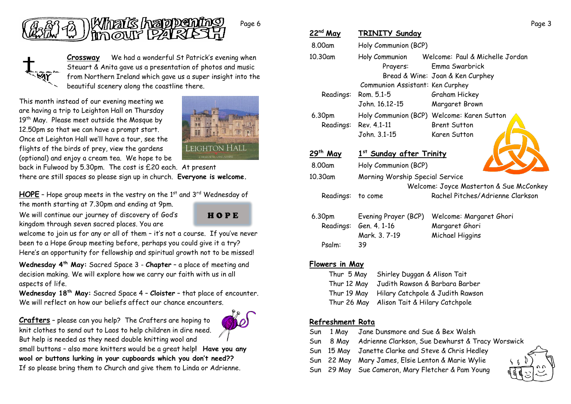

**Crossway** We had a wonderful St Patrick's evening when Steuart & Anita gave us a presentation of photos and music from Northern Ireland which gave us a super insight into the beautiful scenery along the coastline there.

This month instead of our evening meeting we are having a trip to Leighton Hall on Thursday 19<sup>th</sup> May. Please meet outside the Mosque by 12.50pm so that we can have a prompt start. Once at Leighton Hall we'll have a tour, see the flights of the birds of prey, view the gardens (optional) and enjoy a cream tea. We hope to be



back in Fulwood by 5.30pm. The cost is £20 each. At present

there are still spaces so please sign up in church. **Everyone is welcome.**

HOPE - Hope group meets in the vestry on the 1<sup>st</sup> and 3<sup>rd</sup> Wednesday of

the month starting at 7.30pm and ending at 9pm. We will continue our journey of discovery of God's

kingdom through seven sacred places. You are



welcome to join us for any or all of them – it's not a course. If you've never been to a Hope Group meeting before, perhaps you could give it a try? Here's an opportunity for fellowship and spiritual growth not to be missed!

**Wednesday 4th May:** Sacred Space 3 - **Chapter** – a place of meeting and decision making. We will explore how we carry our faith with us in all aspects of life.

**Wednesday 18th May:** Sacred Space 4 – **Cloister** – that place of encounter. We will reflect on how our beliefs affect our chance encounters.

**Crafters** – please can you help? The Crafters are hoping to knit clothes to send out to Laos to help children in dire need. But help is needed as they need double knitting wool and



small buttons – also more knitters would be a great help**! Have you any wool or buttons lurking in your cupboards which you don't need??**

If so please bring them to Church and give them to Linda or Adrienne.

| 22nd May             | TRINITY Sunday                                 |                                            |  |
|----------------------|------------------------------------------------|--------------------------------------------|--|
| 8.00am               | Holy Communion (BCP)                           |                                            |  |
| 10.30am              | Holy Communion Welcome: Paul & Michelle Jordan |                                            |  |
|                      | Prayers:                                       | Emma Swarbrick                             |  |
|                      | Bread & Wine: Joan & Ken Curphey               |                                            |  |
|                      | Communion Assistant: Ken Curphey               |                                            |  |
| Readings:            | Rom. 5.1-5                                     | Graham Hickey                              |  |
|                      | John. 16.12-15                                 | Margaret Brown                             |  |
| 6.30pm               |                                                | Holy Communion (BCP) Welcome: Karen Sutton |  |
| Readings:            | Rev. 4.1-11                                    | <b>Brent Sutton</b>                        |  |
|                      | John. 3.1-15                                   | Karen Sutton                               |  |
| 29 <sup>th</sup> May | 1st Sunday after Trinity                       |                                            |  |
| 8.00am               | Holy Communion (BCP)                           |                                            |  |
| 10.30am              | Morning Worship Special Service                |                                            |  |
|                      | Welcome: Joyce Masterton & Sue McConkey        |                                            |  |
| Readings:            | to come                                        | Rachel Pitches/Adrienne Clarkson           |  |
| 6.30pm               | Evening Prayer (BCP)                           | Welcome: Margaret Ghori                    |  |
| Readinas:            | Gen 4 1-16                                     | Margaret Ghori                             |  |

Margaret Ghori Mark. 3. 7-19 Michael Higgins Psalm: 39

#### **Flowers in May**

| Thur 5 May  | Shirley Duggan & Alison Tait               |
|-------------|--------------------------------------------|
| Thur 12 May | Judith Rawson & Barbara Barber             |
| Thur 19 May | Hilary Catchpole & Judith Rawson           |
|             | Thur 26 May Alison Tait & Hilary Catchpole |
|             |                                            |

#### **Refreshment Rota**

- Sun 1 May Jane Dunsmore and Sue & Bex Walsh
- Sun 8 May Adrienne Clarkson, Sue Dewhurst & Tracy Worswick
- Sun 15 May Janette Clarke and Steve & Chris Hedley
- Sun 22 May Mary James, Elsie Lenton & Marie Wylie
- Sun 29 May Sue Cameron, Mary Fletcher & Pam Young



Page 3